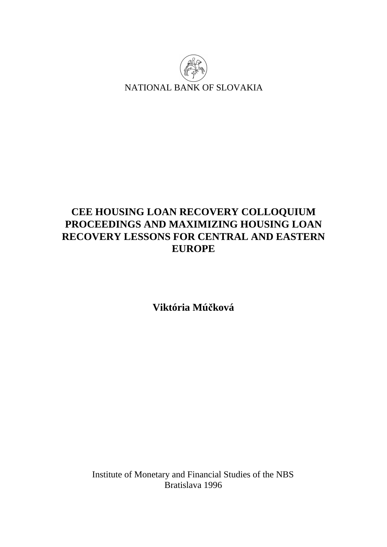

# **CEE HOUSING LOAN RECOVERY COLLOQUIUM PROCEEDINGS AND MAXIMIZING HOUSING LOAN RECOVERY LESSONS FOR CENTRAL AND EASTERN EUROPE**

**Viktória Múčková** 

Institute of Monetary and Financial Studies of the NBS Bratislava 1996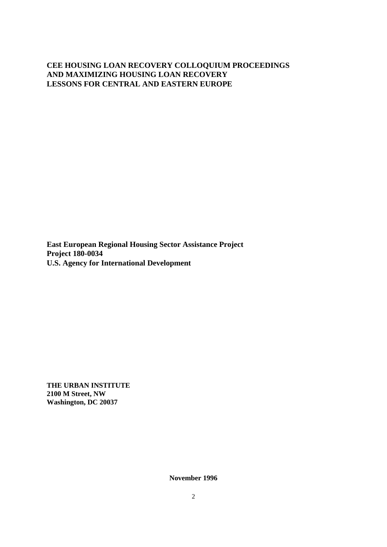### **CEE HOUSING LOAN RECOVERY COLLOQUIUM PROCEEDINGS AND MAXIMIZING HOUSING LOAN RECOVERY LESSONS FOR CENTRAL AND EASTERN EUROPE**

**East European Regional Housing Sector Assistance Project Project 180-0034 U.S. Agency for International Development** 

**THE URBAN INSTITUTE 2100 M Street, NW Washington, DC 20037** 

**November 1996**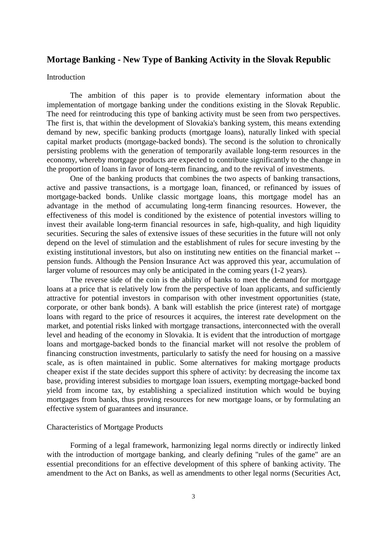### **Mortage Banking - New Type of Banking Activity in the Slovak Republic**

#### **Introduction**

The ambition of this paper is to provide elementary information about the implementation of mortgage banking under the conditions existing in the Slovak Republic. The need for reintroducing this type of banking activity must be seen from two perspectives. The first is, that within the development of Slovakia's banking system, this means extending demand by new, specific banking products (mortgage loans), naturally linked with special capital market products (mortgage-backed bonds). The second is the solution to chronically persisting problems with the generation of temporarily available long-term resources in the economy, whereby mortgage products are expected to contribute significantly to the change in the proportion of loans in favor of long-term financing, and to the revival of investments.

One of the banking products that combines the two aspects of banking transactions, active and passive transactions, is a mortgage loan, financed, or refinanced by issues of mortgage-backed bonds. Unlike classic mortgage loans, this mortgage model has an advantage in the method of accumulating long-term financing resources. However, the effectiveness of this model is conditioned by the existence of potential investors willing to invest their available long-term financial resources in safe, high-quality, and high liquidity securities. Securing the sales of extensive issues of these securities in the future will not only depend on the level of stimulation and the establishment of rules for secure investing by the existing institutional investors, but also on instituting new entities on the financial market - pension funds. Although the Pension Insurance Act was approved this year, accumulation of larger volume of resources may only be anticipated in the coming years (1-2 years).

The reverse side of the coin is the ability of banks to meet the demand for mortgage loans at a price that is relatively low from the perspective of loan applicants, and sufficiently attractive for potential investors in comparison with other investment opportunities (state, corporate, or other bank bonds). A bank will establish the price (interest rate) of mortgage loans with regard to the price of resources it acquires, the interest rate development on the market, and potential risks linked with mortgage transactions, interconnected with the overall level and heading of the economy in Slovakia. It is evident that the introduction of mortgage loans and mortgage-backed bonds to the financial market will not resolve the problem of financing construction investments, particularly to satisfy the need for housing on a massive scale, as is often maintained in public. Some alternatives for making mortgage products cheaper exist if the state decides support this sphere of activity: by decreasing the income tax base, providing interest subsidies to mortgage loan issuers, exempting mortgage-backed bond yield from income tax, by establishing a specialized institution which would be buying mortgages from banks, thus proving resources for new mortgage loans, or by formulating an effective system of guarantees and insurance.

#### Characteristics of Mortgage Products

Forming of a legal framework, harmonizing legal norms directly or indirectly linked with the introduction of mortgage banking, and clearly defining "rules of the game" are an essential preconditions for an effective development of this sphere of banking activity. The amendment to the Act on Banks, as well as amendments to other legal norms (Securities Act,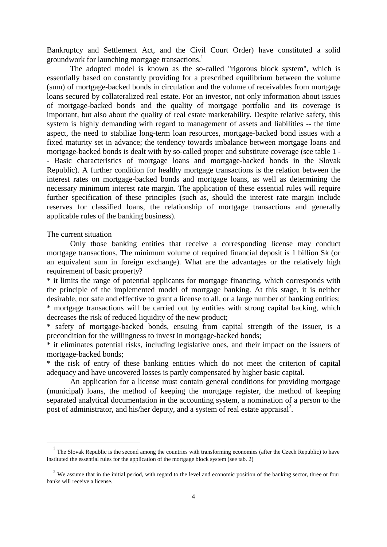Bankruptcy and Settlement Act, and the Civil Court Order) have constituted a solid groundwork for launching mortgage transactions.<sup>1</sup>

The adopted model is known as the so-called "rigorous block system", which is essentially based on constantly providing for a prescribed equilibrium between the volume (sum) of mortgage-backed bonds in circulation and the volume of receivables from mortgage loans secured by collateralized real estate. For an investor, not only information about issues of mortgage-backed bonds and the quality of mortgage portfolio and its coverage is important, but also about the quality of real estate marketability. Despite relative safety, this system is highly demanding with regard to management of assets and liabilities -- the time aspect, the need to stabilize long-term loan resources, mortgage-backed bond issues with a fixed maturity set in advance; the tendency towards imbalance between mortgage loans and mortgage-backed bonds is dealt with by so-called proper and substitute coverage (see table 1 - - Basic characteristics of mortgage loans and mortgage-backed bonds in the Slovak Republic). A further condition for healthy mortgage transactions is the relation between the interest rates on mortgage-backed bonds and mortgage loans, as well as determining the necessary minimum interest rate margin. The application of these essential rules will require further specification of these principles (such as, should the interest rate margin include reserves for classified loans, the relationship of mortgage transactions and generally applicable rules of the banking business).

#### The current situation

 $\overline{\phantom{a}}$ 

Only those banking entities that receive a corresponding license may conduct mortgage transactions. The minimum volume of required financial deposit is 1 billion Sk (or an equivalent sum in foreign exchange). What are the advantages or the relatively high requirement of basic property?

\* it limits the range of potential applicants for mortgage financing, which corresponds with the principle of the implemented model of mortgage banking. At this stage, it is neither desirable, nor safe and effective to grant a license to all, or a large number of banking entities; \* mortgage transactions will be carried out by entities with strong capital backing, which decreases the risk of reduced liquidity of the new product;

\* safety of mortgage-backed bonds, ensuing from capital strength of the issuer, is a precondition for the willingness to invest in mortgage-backed bonds;

\* it eliminates potential risks, including legislative ones, and their impact on the issuers of mortgage-backed bonds;

\* the risk of entry of these banking entities which do not meet the criterion of capital adequacy and have uncovered losses is partly compensated by higher basic capital.

An application for a license must contain general conditions for providing mortgage (municipal) loans, the method of keeping the mortgage register, the method of keeping separated analytical documentation in the accounting system, a nomination of a person to the post of administrator, and his/her deputy, and a system of real estate appraisal<sup>2</sup>.

<sup>&</sup>lt;sup>1</sup> The Slovak Republic is the second among the countries with transforming economies (after the Czech Republic) to have instituted the essential rules for the application of the mortgage block system (see tab. 2)

<sup>&</sup>lt;sup>2</sup> We assume that in the initial period, with regard to the level and economic position of the banking sector, three or four banks will receive a license.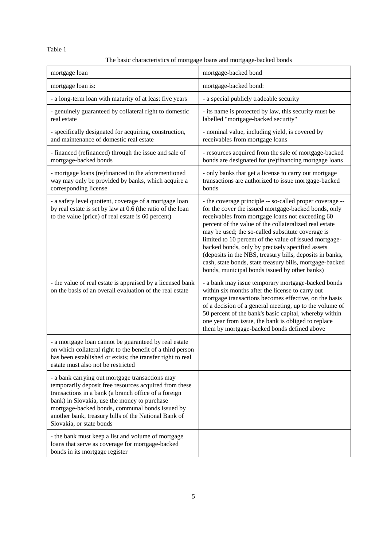Table 1

## The basic characteristics of mortgage loans and mortgage-backed bonds

| mortgage loan                                                                                                                                                                                                                                                                                                                                            | mortgage-backed bond                                                                                                                                                                                                                                                                                                                                                                                                                                                                                                                                                       |  |
|----------------------------------------------------------------------------------------------------------------------------------------------------------------------------------------------------------------------------------------------------------------------------------------------------------------------------------------------------------|----------------------------------------------------------------------------------------------------------------------------------------------------------------------------------------------------------------------------------------------------------------------------------------------------------------------------------------------------------------------------------------------------------------------------------------------------------------------------------------------------------------------------------------------------------------------------|--|
| mortgage loan is:                                                                                                                                                                                                                                                                                                                                        | mortgage-backed bond:                                                                                                                                                                                                                                                                                                                                                                                                                                                                                                                                                      |  |
| - a long-term loan with maturity of at least five years                                                                                                                                                                                                                                                                                                  | - a special publicly tradeable security                                                                                                                                                                                                                                                                                                                                                                                                                                                                                                                                    |  |
| - genuinely guaranteed by collateral right to domestic<br>real estate                                                                                                                                                                                                                                                                                    | - its name is protected by law, this security must be<br>labelled "mortgage-backed security"                                                                                                                                                                                                                                                                                                                                                                                                                                                                               |  |
| - specifically designated for acquiring, construction,<br>and maintenance of domestic real estate                                                                                                                                                                                                                                                        | - nominal value, including yield, is covered by<br>receivables from mortgage loans                                                                                                                                                                                                                                                                                                                                                                                                                                                                                         |  |
| - financed (refinanced) through the issue and sale of<br>mortgage-backed bonds                                                                                                                                                                                                                                                                           | - resources acquired from the sale of mortgage-backed<br>bonds are designated for (re)financing mortgage loans                                                                                                                                                                                                                                                                                                                                                                                                                                                             |  |
| - mortgage loans (re)financed in the aforementioned<br>way may only be provided by banks, which acquire a<br>corresponding license                                                                                                                                                                                                                       | - only banks that get a license to carry out mortgage<br>transactions are authorized to issue mortgage-backed<br>bonds                                                                                                                                                                                                                                                                                                                                                                                                                                                     |  |
| - a safety level quotient, coverage of a mortgage loan<br>by real estate is set by law at 0.6 (the ratio of the loan<br>to the value (price) of real estate is 60 percent)                                                                                                                                                                               | - the coverage principle -- so-called proper coverage --<br>for the cover the issued mortgage-backed bonds, only<br>receivables from mortgage loans not exceeding 60<br>percent of the value of the collateralized real estate<br>may be used; the so-called substitute coverage is<br>limited to 10 percent of the value of issued mortgage-<br>backed bonds, only by precisely specified assets<br>(deposits in the NBS, treasury bills, deposits in banks,<br>cash, state bonds, state treasury bills, mortgage-backed<br>bonds, municipal bonds issued by other banks) |  |
| - the value of real estate is appraised by a licensed bank<br>on the basis of an overall evaluation of the real estate                                                                                                                                                                                                                                   | - a bank may issue temporary mortgage-backed bonds<br>within six months after the license to carry out<br>mortgage transactions becomes effective, on the basis<br>of a decision of a general meeting, up to the volume of<br>50 percent of the bank's basic capital, whereby within<br>one year from issue, the bank is obliged to replace<br>them by mortgage-backed bonds defined above                                                                                                                                                                                 |  |
| - a mortgage loan cannot be guaranteed by real estate<br>on which collateral right to the benefit of a third person<br>has been established or exists; the transfer right to real<br>estate must also not be restricted                                                                                                                                  |                                                                                                                                                                                                                                                                                                                                                                                                                                                                                                                                                                            |  |
| - a bank carrying out mortgage transactions may<br>temporarily deposit free resources acquired from these<br>transactions in a bank (a branch office of a foreign<br>bank) in Slovakia, use the money to purchase<br>mortgage-backed bonds, communal bonds issued by<br>another bank, treasury bills of the National Bank of<br>Slovakia, or state bonds |                                                                                                                                                                                                                                                                                                                                                                                                                                                                                                                                                                            |  |
| - the bank must keep a list and volume of mortgage<br>loans that serve as coverage for mortgage-backed<br>bonds in its mortgage register                                                                                                                                                                                                                 |                                                                                                                                                                                                                                                                                                                                                                                                                                                                                                                                                                            |  |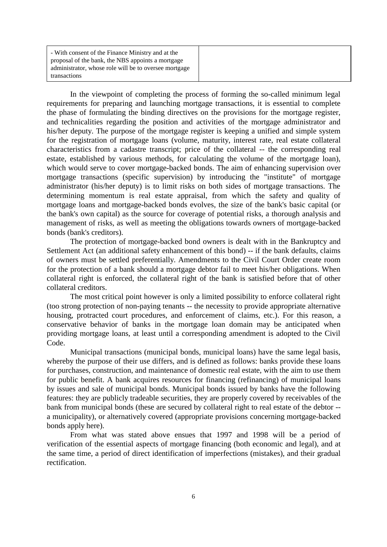| - With consent of the Finance Ministry and at the     |
|-------------------------------------------------------|
| proposal of the bank, the NBS appoints a mortgage     |
| administrator, whose role will be to oversee mortgage |
| transactions                                          |

In the viewpoint of completing the process of forming the so-called minimum legal requirements for preparing and launching mortgage transactions, it is essential to complete the phase of formulating the binding directives on the provisions for the mortgage register, and technicalities regarding the position and activities of the mortgage administrator and his/her deputy. The purpose of the mortgage register is keeping a unified and simple system for the registration of mortgage loans (volume, maturity, interest rate, real estate collateral characteristics from a cadastre transcript; price of the collateral -- the corresponding real estate, established by various methods, for calculating the volume of the mortgage loan), which would serve to cover mortgage-backed bonds. The aim of enhancing supervision over mortgage transactions (specific supervision) by introducing the "institute" of mortgage administrator (his/her deputy) is to limit risks on both sides of mortgage transactions. The determining momentum is real estate appraisal, from which the safety and quality of mortgage loans and mortgage-backed bonds evolves, the size of the bank's basic capital (or the bank's own capital) as the source for coverage of potential risks, a thorough analysis and management of risks, as well as meeting the obligations towards owners of mortgage-backed bonds (bank's creditors).

The protection of mortgage-backed bond owners is dealt with in the Bankruptcy and Settlement Act (an additional safety enhancement of this bond) -- if the bank defaults, claims of owners must be settled preferentially. Amendments to the Civil Court Order create room for the protection of a bank should a mortgage debtor fail to meet his/her obligations. When collateral right is enforced, the collateral right of the bank is satisfied before that of other collateral creditors.

The most critical point however is only a limited possibility to enforce collateral right (too strong protection of non-paying tenants -- the necessity to provide appropriate alternative housing, protracted court procedures, and enforcement of claims, etc.). For this reason, a conservative behavior of banks in the mortgage loan domain may be anticipated when providing mortgage loans, at least until a corresponding amendment is adopted to the Civil Code.

Municipal transactions (municipal bonds, municipal loans) have the same legal basis, whereby the purpose of their use differs, and is defined as follows: banks provide these loans for purchases, construction, and maintenance of domestic real estate, with the aim to use them for public benefit. A bank acquires resources for financing (refinancing) of municipal loans by issues and sale of municipal bonds. Municipal bonds issued by banks have the following features: they are publicly tradeable securities, they are properly covered by receivables of the bank from municipal bonds (these are secured by collateral right to real estate of the debtor - a municipality), or alternatively covered (appropriate provisions concerning mortgage-backed bonds apply here).

From what was stated above ensues that 1997 and 1998 will be a period of verification of the essential aspects of mortgage financing (both economic and legal), and at the same time, a period of direct identification of imperfections (mistakes), and their gradual rectification.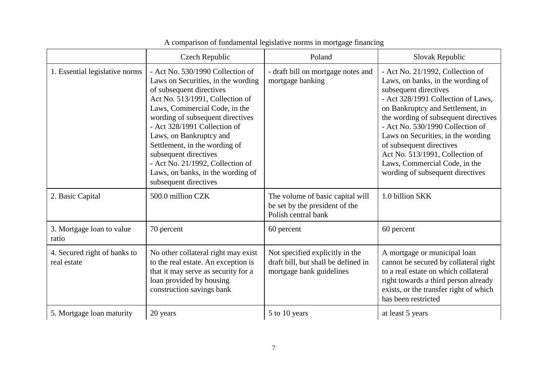|                                             | Czech Republic                                                                                                                                                                                                                                                                                                                                                                                                                    | Poland                                                                                             | Slovak Republic                                                                                                                                                                                                                                                                                                                                                                                                                |
|---------------------------------------------|-----------------------------------------------------------------------------------------------------------------------------------------------------------------------------------------------------------------------------------------------------------------------------------------------------------------------------------------------------------------------------------------------------------------------------------|----------------------------------------------------------------------------------------------------|--------------------------------------------------------------------------------------------------------------------------------------------------------------------------------------------------------------------------------------------------------------------------------------------------------------------------------------------------------------------------------------------------------------------------------|
| 1. Essential legislative norms              | - Act No. 530/1990 Collection of<br>Laws on Securities, in the wording<br>of subsequent directives<br>Act No. 513/1991, Collection of<br>Laws, Commercial Code, in the<br>wording of subsequent directives<br>- Act 328/1991 Collection of<br>Laws, on Bankruptcy and<br>Settlement, in the wording of<br>subsequent directives<br>- Act No. 21/1992, Collection of<br>Laws, on banks, in the wording of<br>subsequent directives | - draft bill on mortgage notes and<br>mortgage banking                                             | - Act No. 21/1992, Collection of<br>Laws, on banks, in the wording of<br>subsequent directives<br>- Act 328/1991 Collection of Laws,<br>on Bankruptcy and Settlement, in<br>the wording of subsequent directives<br>- Act No. 530/1990 Collection of<br>Laws on Securities, in the wording<br>of subsequent directives<br>Act No. 513/1991, Collection of<br>Laws, Commercial Code, in the<br>wording of subsequent directives |
| 2. Basic Capital                            | 500.0 million CZK                                                                                                                                                                                                                                                                                                                                                                                                                 | The volume of basic capital will<br>be set by the president of the<br>Polish central bank          | 1.0 billion SKK                                                                                                                                                                                                                                                                                                                                                                                                                |
| 3. Mortgage loan to value<br>ratio          | 70 percent                                                                                                                                                                                                                                                                                                                                                                                                                        | 60 percent                                                                                         | 60 percent                                                                                                                                                                                                                                                                                                                                                                                                                     |
| 4. Secured right of banks to<br>real estate | No other collateral right may exist<br>to the real estate. An exception is<br>that it may serve as security for a<br>loan provided by housing<br>construction savings bank                                                                                                                                                                                                                                                        | Not specified explicitly in the<br>draft bill, but shall be defined in<br>mortgage bank guidelines | A mortgage or municipal loan<br>cannot be secured by collateral right<br>to a real estate on which collateral<br>right towards a third person already<br>exists, or the transfer right of which<br>has been restricted                                                                                                                                                                                                         |
| 5. Mortgage loan maturity                   | 20 years                                                                                                                                                                                                                                                                                                                                                                                                                          | 5 to 10 years                                                                                      | at least 5 years                                                                                                                                                                                                                                                                                                                                                                                                               |

## A comparison of fundamental legislative norms in mortgage financing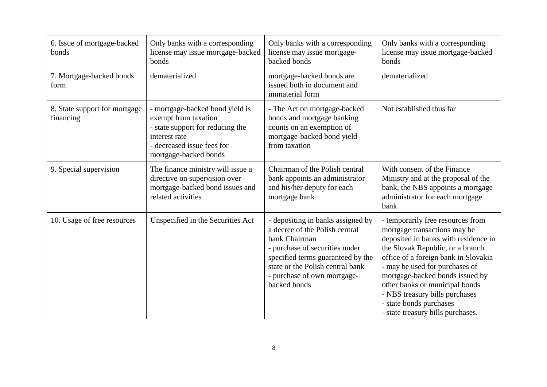| 6. Issue of mortgage-backed<br>bonds       | Only banks with a corresponding<br>license may issue mortgage-backed<br>bonds                                                                                       | Only banks with a corresponding<br>license may issue mortgage-<br>backed bonds                                                                                                                                                                 | Only banks with a corresponding<br>license may issue mortgage-backed<br>bonds                                                                                                                                                                                                                                                                                                                  |
|--------------------------------------------|---------------------------------------------------------------------------------------------------------------------------------------------------------------------|------------------------------------------------------------------------------------------------------------------------------------------------------------------------------------------------------------------------------------------------|------------------------------------------------------------------------------------------------------------------------------------------------------------------------------------------------------------------------------------------------------------------------------------------------------------------------------------------------------------------------------------------------|
| 7. Mortgage-backed bonds<br>form           | dematerialized                                                                                                                                                      | mortgage-backed bonds are<br>issued both in document and<br>immaterial form                                                                                                                                                                    | dematerialized                                                                                                                                                                                                                                                                                                                                                                                 |
| 8. State support for mortgage<br>financing | - mortgage-backed bond yield is<br>exempt from taxation<br>- state support for reducing the<br>interest rate<br>- decreased issue fees for<br>mortgage-backed bonds | - The Act on mortgage-backed<br>bonds and mortgage banking<br>counts on an exemption of<br>mortgage-backed bond yield<br>from taxation                                                                                                         | Not established thus far                                                                                                                                                                                                                                                                                                                                                                       |
| 9. Special supervision                     | The finance ministry will issue a<br>directive on supervision over<br>mortgage-backed bond issues and<br>related activities                                         | Chairman of the Polish central<br>bank appoints an administrator<br>and his/her deputy for each<br>mortgage bank                                                                                                                               | With consent of the Finance<br>Ministry and at the proposal of the<br>bank, the NBS appoints a mortgage<br>administrator for each mortgage<br>bank                                                                                                                                                                                                                                             |
| 10. Usage of free resources                | Unspecified in the Securities Act                                                                                                                                   | - depositing in banks assigned by<br>a decree of the Polish central<br>bank Chairman<br>- purchase of securities under<br>specified terms guaranteed by the<br>state or the Polish central bank<br>- purchase of own mortgage-<br>backed bonds | - temporarily free resources from<br>mortgage transactions may be<br>deposited in banks with residence in<br>the Slovak Republic, or a branch<br>office of a foreign bank in Slovakia<br>- may be used for purchases of<br>mortgage-backed bonds issued by<br>other banks or municipal bonds<br>- NBS treasury bills purchases<br>- state bonds purchases<br>- state treasury bills purchases. |